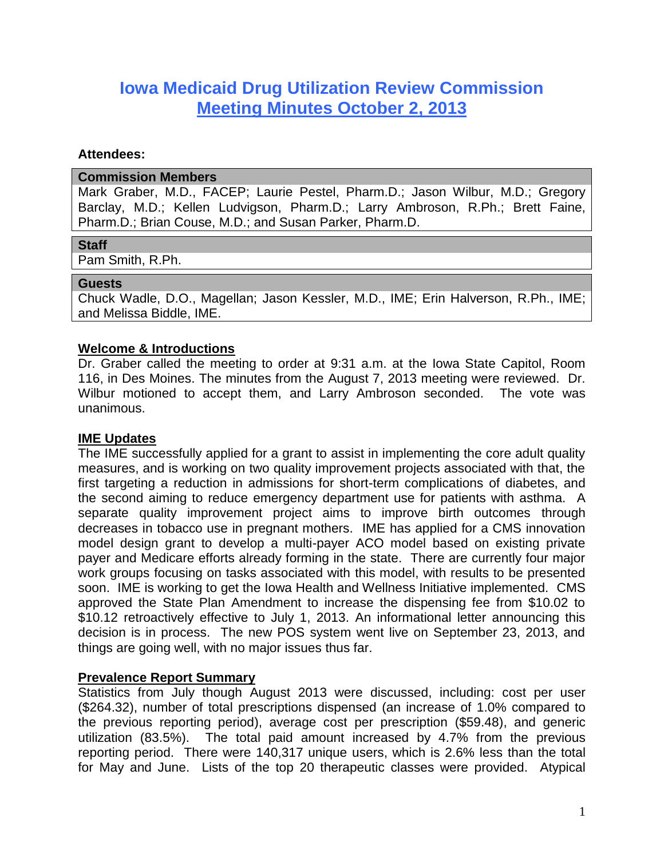# **Iowa Medicaid Drug Utilization Review Commission Meeting Minutes October 2, 2013**

#### **Attendees:**

#### **Commission Members**

Mark Graber, M.D., FACEP; Laurie Pestel, Pharm.D.; Jason Wilbur, M.D.; Gregory Barclay, M.D.; Kellen Ludvigson, Pharm.D.; Larry Ambroson, R.Ph.; Brett Faine, Pharm.D.; Brian Couse, M.D.; and Susan Parker, Pharm.D.

# **Staff**

Pam Smith, R.Ph.

#### **Guests**

Chuck Wadle, D.O., Magellan; Jason Kessler, M.D., IME; Erin Halverson, R.Ph., IME; and Melissa Biddle, IME.

# **Welcome & Introductions**

Dr. Graber called the meeting to order at 9:31 a.m. at the Iowa State Capitol, Room 116, in Des Moines. The minutes from the August 7, 2013 meeting were reviewed. Dr. Wilbur motioned to accept them, and Larry Ambroson seconded. The vote was unanimous.

# **IME Updates**

The IME successfully applied for a grant to assist in implementing the core adult quality measures, and is working on two quality improvement projects associated with that, the first targeting a reduction in admissions for short-term complications of diabetes, and the second aiming to reduce emergency department use for patients with asthma. A separate quality improvement project aims to improve birth outcomes through decreases in tobacco use in pregnant mothers. IME has applied for a CMS innovation model design grant to develop a multi-payer ACO model based on existing private payer and Medicare efforts already forming in the state. There are currently four major work groups focusing on tasks associated with this model, with results to be presented soon. IME is working to get the Iowa Health and Wellness Initiative implemented. CMS approved the State Plan Amendment to increase the dispensing fee from \$10.02 to \$10.12 retroactively effective to July 1, 2013. An informational letter announcing this decision is in process. The new POS system went live on September 23, 2013, and things are going well, with no major issues thus far.

# **Prevalence Report Summary**

Statistics from July though August 2013 were discussed, including: cost per user (\$264.32), number of total prescriptions dispensed (an increase of 1.0% compared to the previous reporting period), average cost per prescription (\$59.48), and generic utilization (83.5%). The total paid amount increased by 4.7% from the previous reporting period. There were 140,317 unique users, which is 2.6% less than the total for May and June. Lists of the top 20 therapeutic classes were provided. Atypical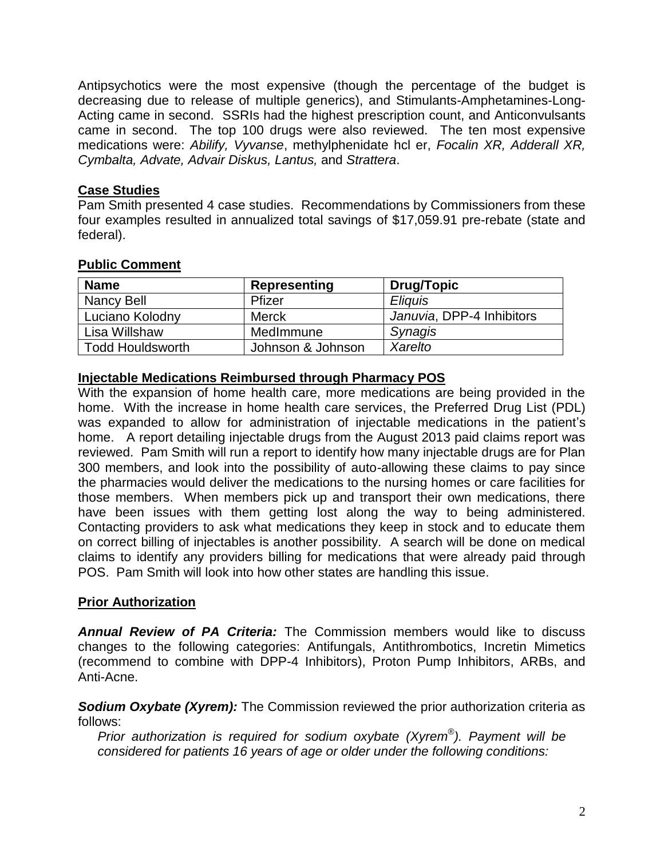Antipsychotics were the most expensive (though the percentage of the budget is decreasing due to release of multiple generics), and Stimulants-Amphetamines-Long-Acting came in second. SSRIs had the highest prescription count, and Anticonvulsants came in second. The top 100 drugs were also reviewed. The ten most expensive medications were: *Abilify, Vyvanse*, methylphenidate hcl er, *Focalin XR, Adderall XR, Cymbalta, Advate, Advair Diskus, Lantus,* and *Strattera*.

# **Case Studies**

Pam Smith presented 4 case studies. Recommendations by Commissioners from these four examples resulted in annualized total savings of \$17,059.91 pre-rebate (state and federal).

| <b>Name</b>             | <b>Representing</b> | <b>Drug/Topic</b>         |
|-------------------------|---------------------|---------------------------|
| Nancy Bell              | Pfizer              | <b>Eliguis</b>            |
| Luciano Kolodny         | <b>Merck</b>        | Januvia, DPP-4 Inhibitors |
| Lisa Willshaw           | MedImmune           | <b>Synagis</b>            |
| <b>Todd Houldsworth</b> | Johnson & Johnson   | Xarelto                   |

# **Public Comment**

# **Injectable Medications Reimbursed through Pharmacy POS**

With the expansion of home health care, more medications are being provided in the home. With the increase in home health care services, the Preferred Drug List (PDL) was expanded to allow for administration of injectable medications in the patient's home. A report detailing injectable drugs from the August 2013 paid claims report was reviewed. Pam Smith will run a report to identify how many injectable drugs are for Plan 300 members, and look into the possibility of auto-allowing these claims to pay since the pharmacies would deliver the medications to the nursing homes or care facilities for those members. When members pick up and transport their own medications, there have been issues with them getting lost along the way to being administered. Contacting providers to ask what medications they keep in stock and to educate them on correct billing of injectables is another possibility. A search will be done on medical claims to identify any providers billing for medications that were already paid through POS. Pam Smith will look into how other states are handling this issue.

# **Prior Authorization**

*Annual Review of PA Criteria:* The Commission members would like to discuss changes to the following categories: Antifungals, Antithrombotics, Incretin Mimetics (recommend to combine with DPP-4 Inhibitors), Proton Pump Inhibitors, ARBs, and Anti-Acne.

**Sodium Oxybate (Xyrem):** The Commission reviewed the prior authorization criteria as follows:

*Prior authorization is required for sodium oxybate (Xyrem® ). Payment will be considered for patients 16 years of age or older under the following conditions:*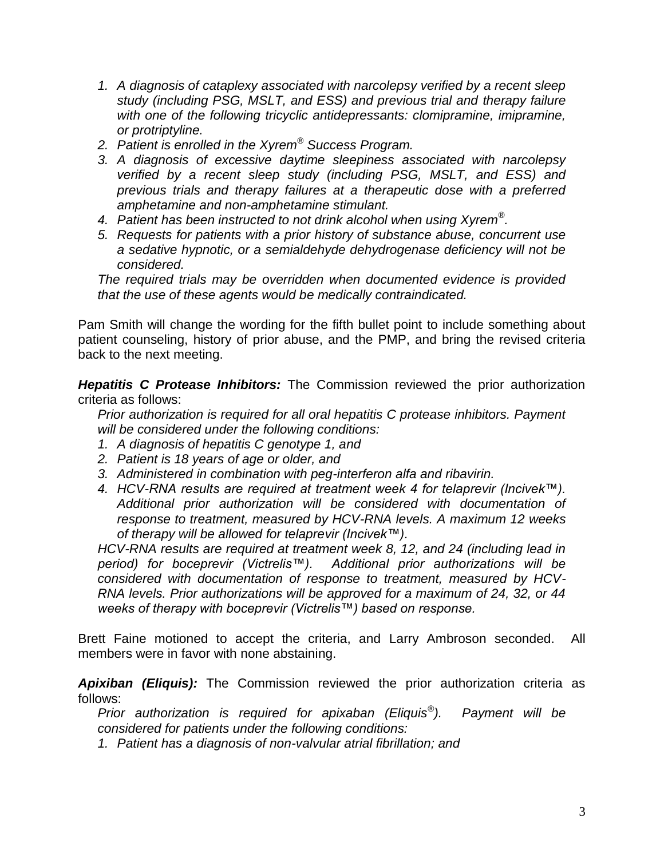- *1. A diagnosis of cataplexy associated with narcolepsy verified by a recent sleep study (including PSG, MSLT, and ESS) and previous trial and therapy failure*  with one of the following tricyclic antidepressants: clomipramine, imipramine, *or protriptyline.*
- *2. Patient is enrolled in the Xyrem® Success Program.*
- *3. A diagnosis of excessive daytime sleepiness associated with narcolepsy verified by a recent sleep study (including PSG, MSLT, and ESS) and previous trials and therapy failures at a therapeutic dose with a preferred amphetamine and non-amphetamine stimulant.*
- *4. Patient has been instructed to not drink alcohol when using Xyrem® .*
- *5. Requests for patients with a prior history of substance abuse, concurrent use a sedative hypnotic, or a semialdehyde dehydrogenase deficiency will not be considered.*

*The required trials may be overridden when documented evidence is provided that the use of these agents would be medically contraindicated.*

Pam Smith will change the wording for the fifth bullet point to include something about patient counseling, history of prior abuse, and the PMP, and bring the revised criteria back to the next meeting.

*Hepatitis C Protease Inhibitors:* The Commission reviewed the prior authorization criteria as follows:

*Prior authorization is required for all oral hepatitis C protease inhibitors. Payment will be considered under the following conditions:*

- *1. A diagnosis of hepatitis C genotype 1, and*
- *2. Patient is 18 years of age or older, and*
- *3. Administered in combination with peg-interferon alfa and ribavirin.*
- *4. HCV-RNA results are required at treatment week 4 for telaprevir (Incivek™). Additional prior authorization will be considered with documentation of response to treatment, measured by HCV-RNA levels. A maximum 12 weeks of therapy will be allowed for telaprevir (Incivek™).*

*HCV-RNA results are required at treatment week 8, 12, and 24 (including lead in period) for boceprevir (Victrelis™). Additional prior authorizations will be considered with documentation of response to treatment, measured by HCV-RNA levels. Prior authorizations will be approved for a maximum of 24, 32, or 44 weeks of therapy with boceprevir (Victrelis™) based on response.*

Brett Faine motioned to accept the criteria, and Larry Ambroson seconded. All members were in favor with none abstaining.

*Apixiban (Eliquis):* The Commission reviewed the prior authorization criteria as follows:

*Prior authorization is required for apixaban (Eliquis® ). Payment will be considered for patients under the following conditions:*

*1. Patient has a diagnosis of non-valvular atrial fibrillation; and*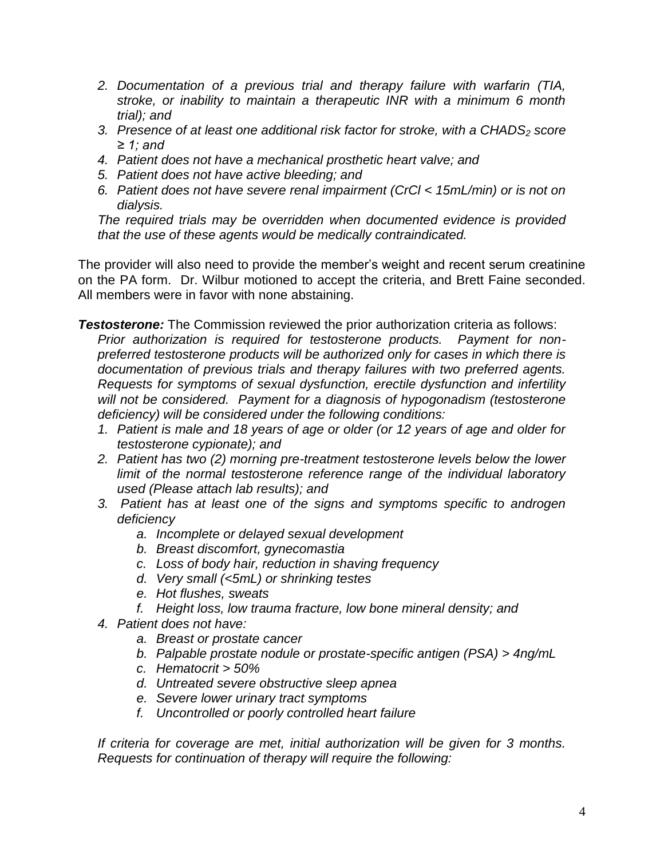- *2. Documentation of a previous trial and therapy failure with warfarin (TIA, stroke, or inability to maintain a therapeutic INR with a minimum 6 month trial); and*
- *3. Presence of at least one additional risk factor for stroke, with a CHADS<sup>2</sup> score ≥ 1; and*
- *4. Patient does not have a mechanical prosthetic heart valve; and*
- *5. Patient does not have active bleeding; and*
- *6. Patient does not have severe renal impairment (CrCl < 15mL/min) or is not on dialysis.*

*The required trials may be overridden when documented evidence is provided that the use of these agents would be medically contraindicated.*

The provider will also need to provide the member's weight and recent serum creatinine on the PA form. Dr. Wilbur motioned to accept the criteria, and Brett Faine seconded. All members were in favor with none abstaining.

**Testosterone:** The Commission reviewed the prior authorization criteria as follows: *Prior authorization is required for testosterone products. Payment for nonpreferred testosterone products will be authorized only for cases in which there is documentation of previous trials and therapy failures with two preferred agents. Requests for symptoms of sexual dysfunction, erectile dysfunction and infertility will not be considered. Payment for a diagnosis of hypogonadism (testosterone deficiency) will be considered under the following conditions:*

- *1. Patient is male and 18 years of age or older (or 12 years of age and older for testosterone cypionate); and*
- *2. Patient has two (2) morning pre-treatment testosterone levels below the lower limit of the normal testosterone reference range of the individual laboratory used (Please attach lab results); and*
- *3. Patient has at least one of the signs and symptoms specific to androgen deficiency* 
	- *a. Incomplete or delayed sexual development*
	- *b. Breast discomfort, gynecomastia*
	- *c. Loss of body hair, reduction in shaving frequency*
	- *d. Very small (<5mL) or shrinking testes*
	- *e. Hot flushes, sweats*
	- *f. Height loss, low trauma fracture, low bone mineral density; and*
- *4. Patient does not have:*
	- *a. Breast or prostate cancer*
	- *b. Palpable prostate nodule or prostate-specific antigen (PSA) > 4ng/mL*
	- *c. Hematocrit > 50%*
	- *d. Untreated severe obstructive sleep apnea*
	- *e. Severe lower urinary tract symptoms*
	- *f. Uncontrolled or poorly controlled heart failure*

*If criteria for coverage are met, initial authorization will be given for 3 months. Requests for continuation of therapy will require the following:*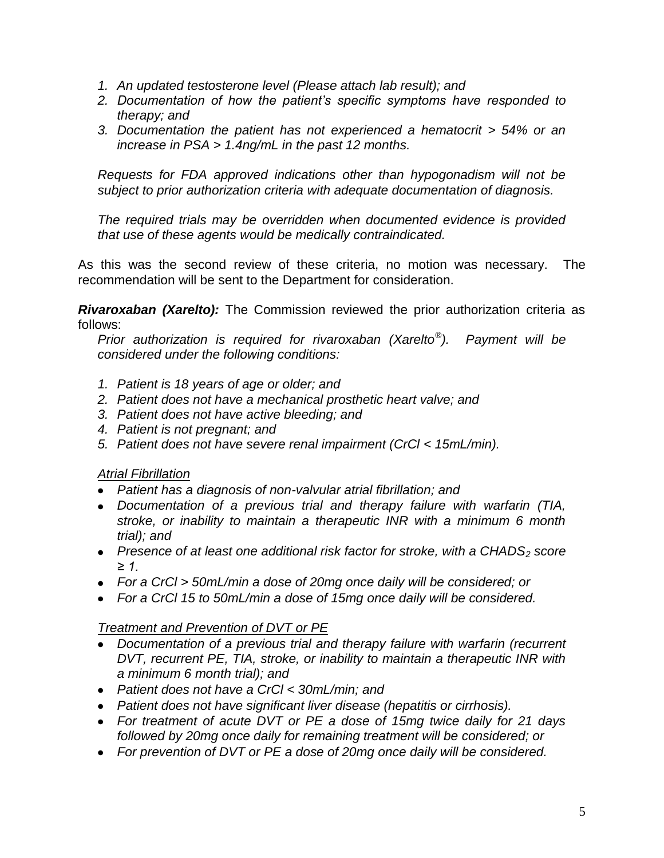- *1. An updated testosterone level (Please attach lab result); and*
- *2. Documentation of how the patient's specific symptoms have responded to therapy; and*
- *3. Documentation the patient has not experienced a hematocrit > 54% or an increase in PSA > 1.4ng/mL in the past 12 months.*

*Requests for FDA approved indications other than hypogonadism will not be subject to prior authorization criteria with adequate documentation of diagnosis.*

*The required trials may be overridden when documented evidence is provided that use of these agents would be medically contraindicated.*

As this was the second review of these criteria, no motion was necessary. The recommendation will be sent to the Department for consideration.

*Rivaroxaban (Xarelto):* The Commission reviewed the prior authorization criteria as follows:

*Prior authorization is required for rivaroxaban (Xarelto® ). Payment will be considered under the following conditions:*

- *1. Patient is 18 years of age or older; and*
- *2. Patient does not have a mechanical prosthetic heart valve; and*
- *3. Patient does not have active bleeding; and*
- *4. Patient is not pregnant; and*
- *5. Patient does not have severe renal impairment (CrCl < 15mL/min).*

# *Atrial Fibrillation*

- *Patient has a diagnosis of non-valvular atrial fibrillation; and*
- *Documentation of a previous trial and therapy failure with warfarin (TIA, stroke, or inability to maintain a therapeutic INR with a minimum 6 month trial); and*
- *Presence of at least one additional risk factor for stroke, with a CHADS<sup>2</sup> score ≥ 1.*
- *For a CrCl > 50mL/min a dose of 20mg once daily will be considered; or*
- *For a CrCl 15 to 50mL/min a dose of 15mg once daily will be considered.*

# *Treatment and Prevention of DVT or PE*

- *Documentation of a previous trial and therapy failure with warfarin (recurrent DVT, recurrent PE, TIA, stroke, or inability to maintain a therapeutic INR with a minimum 6 month trial); and*
- *Patient does not have a CrCl < 30mL/min; and*
- *Patient does not have significant liver disease (hepatitis or cirrhosis).*
- *For treatment of acute DVT or PE a dose of 15mg twice daily for 21 days followed by 20mg once daily for remaining treatment will be considered; or*
- *For prevention of DVT or PE a dose of 20mg once daily will be considered.*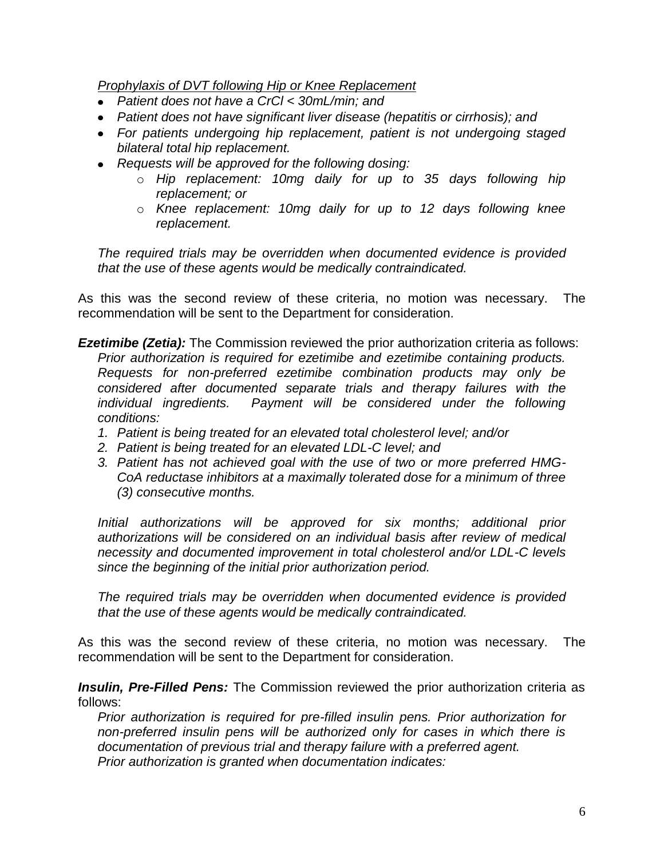*Prophylaxis of DVT following Hip or Knee Replacement*

- *Patient does not have a CrCl < 30mL/min; and*
- *Patient does not have significant liver disease (hepatitis or cirrhosis); and*
- *For patients undergoing hip replacement, patient is not undergoing staged bilateral total hip replacement.*
- *Requests will be approved for the following dosing:*
	- o *Hip replacement: 10mg daily for up to 35 days following hip replacement; or*
	- o *Knee replacement: 10mg daily for up to 12 days following knee replacement.*

*The required trials may be overridden when documented evidence is provided that the use of these agents would be medically contraindicated.*

As this was the second review of these criteria, no motion was necessary. The recommendation will be sent to the Department for consideration.

- **Ezetimibe (Zetia):** The Commission reviewed the prior authorization criteria as follows: *Prior authorization is required for ezetimibe and ezetimibe containing products. Requests for non-preferred ezetimibe combination products may only be considered after documented separate trials and therapy failures with the individual ingredients. Payment will be considered under the following conditions:*
	- *1. Patient is being treated for an elevated total cholesterol level; and/or*
	- *2. Patient is being treated for an elevated LDL-C level; and*
	- *3. Patient has not achieved goal with the use of two or more preferred HMG-CoA reductase inhibitors at a maximally tolerated dose for a minimum of three (3) consecutive months.*

*Initial authorizations will be approved for six months; additional prior authorizations will be considered on an individual basis after review of medical necessity and documented improvement in total cholesterol and/or LDL-C levels since the beginning of the initial prior authorization period.*

*The required trials may be overridden when documented evidence is provided that the use of these agents would be medically contraindicated.* 

As this was the second review of these criteria, no motion was necessary. The recommendation will be sent to the Department for consideration.

*Insulin, Pre-Filled Pens:* The Commission reviewed the prior authorization criteria as follows:

*Prior authorization is required for pre-filled insulin pens. Prior authorization for non-preferred insulin pens will be authorized only for cases in which there is documentation of previous trial and therapy failure with a preferred agent. Prior authorization is granted when documentation indicates:*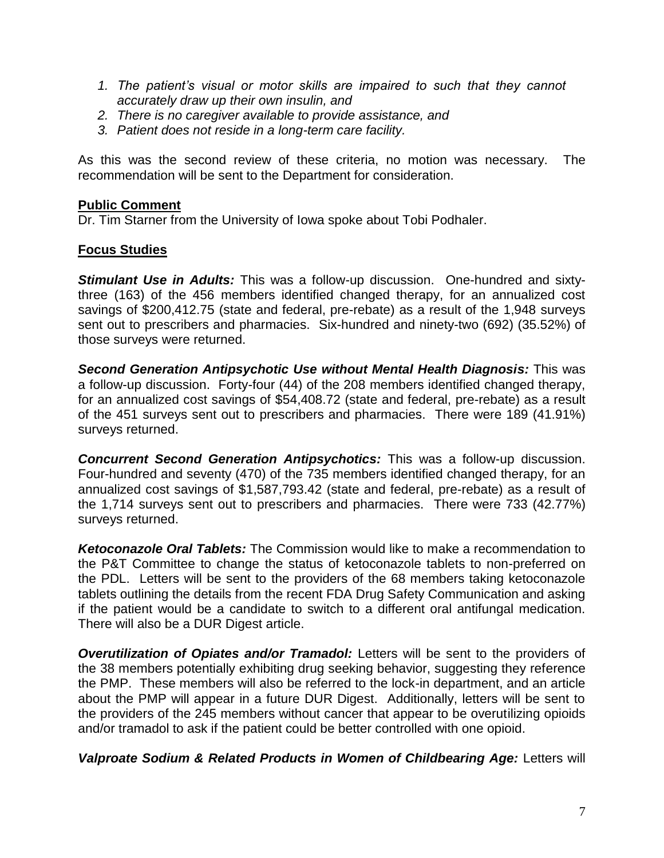- *1. The patient's visual or motor skills are impaired to such that they cannot accurately draw up their own insulin, and*
- *2. There is no caregiver available to provide assistance, and*
- *3. Patient does not reside in a long-term care facility.*

As this was the second review of these criteria, no motion was necessary. The recommendation will be sent to the Department for consideration.

#### **Public Comment**

Dr. Tim Starner from the University of Iowa spoke about Tobi Podhaler.

# **Focus Studies**

*Stimulant Use in Adults:* This was a follow-up discussion. One-hundred and sixtythree (163) of the 456 members identified changed therapy, for an annualized cost savings of \$200,412.75 (state and federal, pre-rebate) as a result of the 1,948 surveys sent out to prescribers and pharmacies. Six-hundred and ninety-two (692) (35.52%) of those surveys were returned.

*Second Generation Antipsychotic Use without Mental Health Diagnosis:* This was a follow-up discussion. Forty-four (44) of the 208 members identified changed therapy, for an annualized cost savings of \$54,408.72 (state and federal, pre-rebate) as a result of the 451 surveys sent out to prescribers and pharmacies. There were 189 (41.91%) surveys returned.

*Concurrent Second Generation Antipsychotics:* This was a follow-up discussion. Four-hundred and seventy (470) of the 735 members identified changed therapy, for an annualized cost savings of \$1,587,793.42 (state and federal, pre-rebate) as a result of the 1,714 surveys sent out to prescribers and pharmacies. There were 733 (42.77%) surveys returned.

*Ketoconazole Oral Tablets:* The Commission would like to make a recommendation to the P&T Committee to change the status of ketoconazole tablets to non-preferred on the PDL. Letters will be sent to the providers of the 68 members taking ketoconazole tablets outlining the details from the recent FDA Drug Safety Communication and asking if the patient would be a candidate to switch to a different oral antifungal medication. There will also be a DUR Digest article.

*Overutilization of Opiates and/or Tramadol:* Letters will be sent to the providers of the 38 members potentially exhibiting drug seeking behavior, suggesting they reference the PMP. These members will also be referred to the lock-in department, and an article about the PMP will appear in a future DUR Digest. Additionally, letters will be sent to the providers of the 245 members without cancer that appear to be overutilizing opioids and/or tramadol to ask if the patient could be better controlled with one opioid.

*Valproate Sodium & Related Products in Women of Childbearing Age:* Letters will